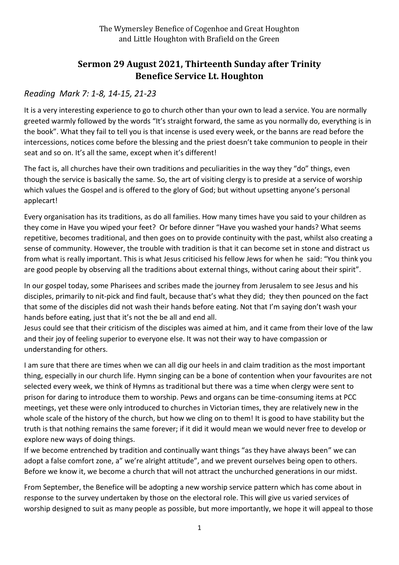## **Sermon 29 August 2021, Thirteenth Sunday after Trinity Benefice Service Lt. Houghton**

## *Reading Mark 7: 1-8, 14-15, 21-23*

It is a very interesting experience to go to church other than your own to lead a service. You are normally greeted warmly followed by the words "It's straight forward, the same as you normally do, everything is in the book". What they fail to tell you is that incense is used every week, or the banns are read before the intercessions, notices come before the blessing and the priest doesn't take communion to people in their seat and so on. It's all the same, except when it's different!

The fact is, all churches have their own traditions and peculiarities in the way they "do" things, even though the service is basically the same. So, the art of visiting clergy is to preside at a service of worship which values the Gospel and is offered to the glory of God; but without upsetting anyone's personal applecart!

Every organisation has its traditions, as do all families. How many times have you said to your children as they come in Have you wiped your feet? Or before dinner "Have you washed your hands? What seems repetitive, becomes traditional, and then goes on to provide continuity with the past, whilst also creating a sense of community. However, the trouble with tradition is that it can become set in stone and distract us from what is really important. This is what Jesus criticised his fellow Jews for when he said: "You think you are good people by observing all the traditions about external things, without caring about their spirit".

In our gospel today, some Pharisees and scribes made the journey from Jerusalem to see Jesus and his disciples, primarily to nit-pick and find fault, because that's what they did; they then pounced on the fact that some of the disciples did not wash their hands before eating. Not that I'm saying don't wash your hands before eating, just that it's not the be all and end all.

Jesus could see that their criticism of the disciples was aimed at him, and it came from their love of the law and their joy of feeling superior to everyone else. It was not their way to have compassion or understanding for others.

I am sure that there are times when we can all dig our heels in and claim tradition as the most important thing, especially in our church life. Hymn singing can be a bone of contention when your favourites are not selected every week, we think of Hymns as traditional but there was a time when clergy were sent to prison for daring to introduce them to worship. Pews and organs can be time-consuming items at PCC meetings, yet these were only introduced to churches in Victorian times, they are relatively new in the whole scale of the history of the church, but how we cling on to them! It is good to have stability but the truth is that nothing remains the same forever; if it did it would mean we would never free to develop or explore new ways of doing things.

If we become entrenched by tradition and continually want things "as they have always been" we can adopt a false comfort zone, a" we're alright attitude", and we prevent ourselves being open to others. Before we know it, we become a church that will not attract the unchurched generations in our midst.

From September, the Benefice will be adopting a new worship service pattern which has come about in response to the survey undertaken by those on the electoral role. This will give us varied services of worship designed to suit as many people as possible, but more importantly, we hope it will appeal to those